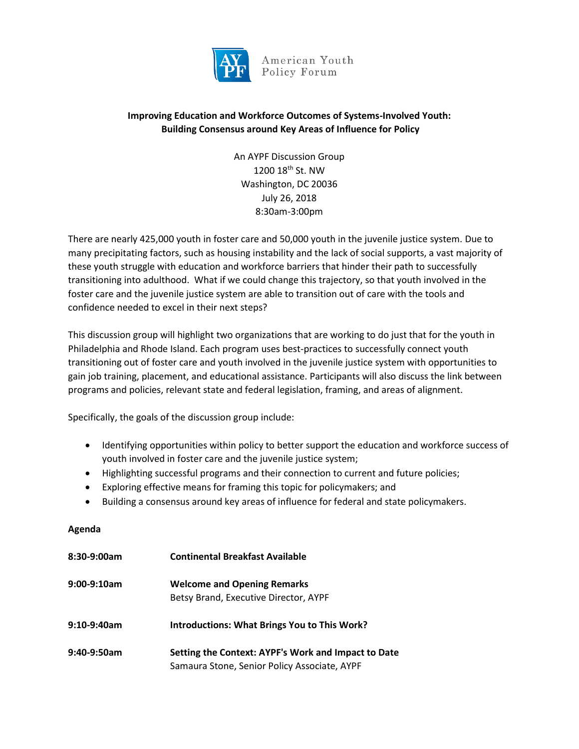

American Youth Policy Forum

# **Improving Education and Workforce Outcomes of Systems-Involved Youth: Building Consensus around Key Areas of Influence for Policy**

An AYPF Discussion Group 1200 18th St. NW Washington, DC 20036 July 26, 2018 8:30am-3:00pm

There are nearly 425,000 youth in foster care and 50,000 youth in the juvenile justice system. Due to many precipitating factors, such as housing instability and the lack of social supports, a vast majority of these youth struggle with education and workforce barriers that hinder their path to successfully transitioning into adulthood. What if we could change this trajectory, so that youth involved in the foster care and the juvenile justice system are able to transition out of care with the tools and confidence needed to excel in their next steps?

This discussion group will highlight two organizations that are working to do just that for the youth in Philadelphia and Rhode Island. Each program uses best-practices to successfully connect youth transitioning out of foster care and youth involved in the juvenile justice system with opportunities to gain job training, placement, and educational assistance. Participants will also discuss the link between programs and policies, relevant state and federal legislation, framing, and areas of alignment.

Specifically, the goals of the discussion group include:

- Identifying opportunities within policy to better support the education and workforce success of youth involved in foster care and the juvenile justice system;
- Highlighting successful programs and their connection to current and future policies;
- Exploring effective means for framing this topic for policymakers; and
- Building a consensus around key areas of influence for federal and state policymakers.

#### **Agenda**

| 8:30-9:00am    | <b>Continental Breakfast Available</b>              |
|----------------|-----------------------------------------------------|
| $9:00-9:10am$  | <b>Welcome and Opening Remarks</b>                  |
|                | Betsy Brand, Executive Director, AYPF               |
| $9:10-9:40$ am | <b>Introductions: What Brings You to This Work?</b> |
| 9:40-9:50am    | Setting the Context: AYPF's Work and Impact to Date |
|                | Samaura Stone, Senior Policy Associate, AYPF        |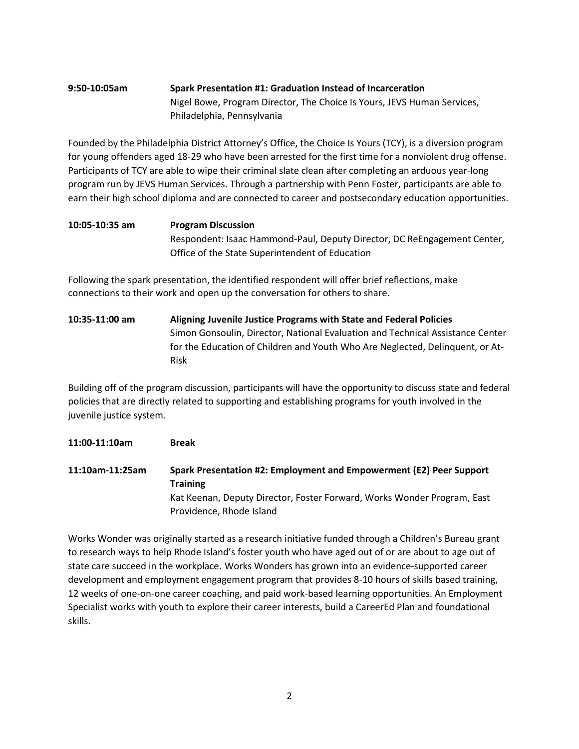## **9:50-10:05am Spark Presentation #1: Graduation Instead of Incarceration**  Nigel Bowe, Program Director, The Choice Is Yours, JEVS Human Services, Philadelphia, Pennsylvania

Founded by the Philadelphia District Attorney's Office, the Choice Is Yours (TCY), is a diversion program for young offenders aged 18-29 who have been arrested for the first time for a nonviolent drug offense. Participants of TCY are able to wipe their criminal slate clean after completing an arduous year-long program run by JEVS Human Services. Through a partnership with Penn Foster, participants are able to earn their high school diploma and are connected to career and postsecondary education opportunities.

# **10:05-10:35 am Program Discussion**  Respondent: Isaac Hammond-Paul, Deputy Director, DC ReEngagement Center, Office of the State Superintendent of Education

Following the spark presentation, the identified respondent will offer brief reflections, make connections to their work and open up the conversation for others to share.

**10:35-11:00 am Aligning Juvenile Justice Programs with State and Federal Policies**  Simon Gonsoulin, Director, National Evaluation and Technical Assistance Center for the Education of Children and Youth Who Are Neglected, Delinquent, or At-Risk

Building off of the program discussion, participants will have the opportunity to discuss state and federal policies that are directly related to supporting and establishing programs for youth involved in the juvenile justice system.

#### **11:00-11:10am Break**

**11:10am-11:25am Spark Presentation #2: Employment and Empowerment (E2) Peer Support Training** Kat Keenan, Deputy Director, Foster Forward, Works Wonder Program, East Providence, Rhode Island

Works Wonder was originally started as a research initiative funded through a Children's Bureau grant to research ways to help Rhode Island's foster youth who have aged out of or are about to age out of state care succeed in the workplace. Works Wonders has grown into an evidence-supported career development and employment engagement program that provides 8-10 hours of skills based training, 12 weeks of one-on-one career coaching, and paid work-based learning opportunities. An Employment Specialist works with youth to explore their career interests, build a CareerEd Plan and foundational skills.